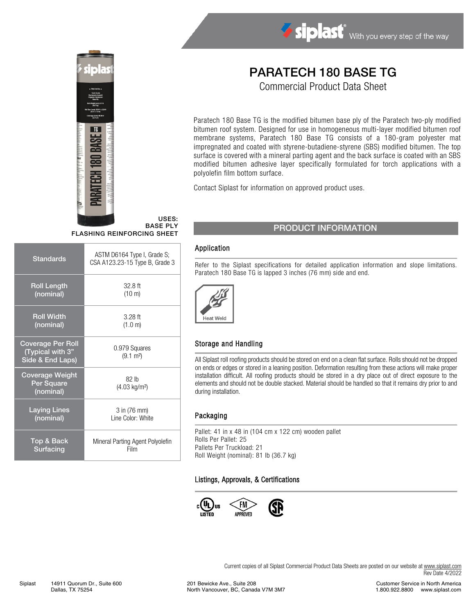

#### USES: BASE PLY FLASHING REINFORCING SHEET

| ASTM D6164 Type I, Grade S;<br>CSA A123.23-15 Type B, Grade 3 |  |
|---------------------------------------------------------------|--|
| $32.8$ ft<br>$(10 \text{ m})$                                 |  |
| $3.28$ ft<br>(1.0 m)                                          |  |
| 0.979 Squares<br>$(9.1 \text{ m}^2)$                          |  |
| 82 <sub>h</sub><br>(4.03 kg/m <sup>2</sup> )                  |  |
| 3 in (76 mm)<br>Line Color: White                             |  |
| Mineral Parting Agent Polyolefin<br>Film                      |  |
|                                                               |  |

# PARATECH 180 BASE TG

Siplast With you every step of the way

Commercial Product Data Sheet

Paratech 180 Base TG is the modified bitumen base ply of the Paratech two-ply modified bitumen roof system. Designed for use in homogeneous multi-layer modified bitumen roof membrane systems, Paratech 180 Base TG consists of a 180-gram polyester mat impregnated and coated with styrene-butadiene-styrene (SBS) modified bitumen. The top surface is covered with a mineral parting agent and the back surface is coated with an SBS modified bitumen adhesive layer specifically formulated for torch applications with a polyolefin film bottom surface.

Contact Siplast for information on approved product uses.

## PRODUCT INFORMATION

#### Application

Refer to the Siplast specifications for detailed application information and slope limitations. Paratech 180 Base TG is lapped 3 inches (76 mm) side and end.



### Storage and Handling

All Siplast roll roofing products should be stored on end on a clean flat surface. Rolls should not be dropped on ends or edges or stored in a leaning position. Deformation resulting from these actions will make proper installation difficult. All roofing products should be stored in a dry place out of direct exposure to the elements and should not be double stacked. Material should be handled so that it remains dry prior to and during installation.

#### Packaging

Pallet: 41 in x 48 in (104 cm x 122 cm) wooden pallet Rolls Per Pallet: 25 Pallets Per Truckload: 21 Roll Weight (nominal): 81 lb (36.7 kg)

#### Listings, Approvals, & Certifications



Current copies of all Siplast Commercial Product Data Sheets are posted on our website at [www.siplast.com](http://www.siplast.com/) Rev Date 4/2022